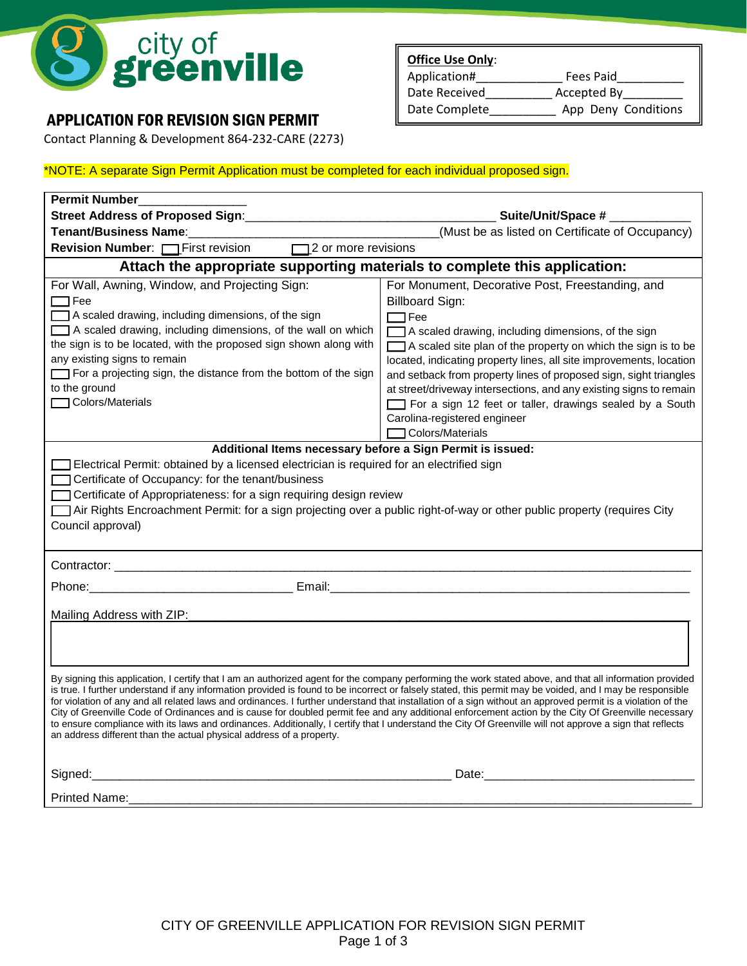

## APPLICATION FOR REVISION SIGN PERMIT

Contact Planning & Development 864-232-CARE (2273)

## **Office Use Only**: Application#\_\_\_\_\_\_\_\_\_\_\_\_\_ Fees Paid\_\_\_\_\_\_\_\_\_\_ Date Received\_\_\_\_\_\_\_\_\_\_\_\_ Accepted By\_ Date Complete \_\_\_\_\_\_\_\_\_\_\_ App Deny Conditions

## \*NOTE: A separate Sign Permit Application must be completed for each individual proposed sign.

| Permit Number                                                                                                                                                                                                                                                                                                                                                                                                                                                                                                                                                                                                                                                                                                                                                                                                                                                                                                 |                                                                                                                                                                                                                                                                                                                                                                                                                                                                                                                                                    |  |  |  |
|---------------------------------------------------------------------------------------------------------------------------------------------------------------------------------------------------------------------------------------------------------------------------------------------------------------------------------------------------------------------------------------------------------------------------------------------------------------------------------------------------------------------------------------------------------------------------------------------------------------------------------------------------------------------------------------------------------------------------------------------------------------------------------------------------------------------------------------------------------------------------------------------------------------|----------------------------------------------------------------------------------------------------------------------------------------------------------------------------------------------------------------------------------------------------------------------------------------------------------------------------------------------------------------------------------------------------------------------------------------------------------------------------------------------------------------------------------------------------|--|--|--|
| <b>Street Address of Proposed Sign:</b>                                                                                                                                                                                                                                                                                                                                                                                                                                                                                                                                                                                                                                                                                                                                                                                                                                                                       |                                                                                                                                                                                                                                                                                                                                                                                                                                                                                                                                                    |  |  |  |
| <b>Tenant/Business Name:</b>                                                                                                                                                                                                                                                                                                                                                                                                                                                                                                                                                                                                                                                                                                                                                                                                                                                                                  | (Must be as listed on Certificate of Occupancy)                                                                                                                                                                                                                                                                                                                                                                                                                                                                                                    |  |  |  |
| <b>Revision Number:</b> First revision 12 or more revisions                                                                                                                                                                                                                                                                                                                                                                                                                                                                                                                                                                                                                                                                                                                                                                                                                                                   |                                                                                                                                                                                                                                                                                                                                                                                                                                                                                                                                                    |  |  |  |
| Attach the appropriate supporting materials to complete this application:                                                                                                                                                                                                                                                                                                                                                                                                                                                                                                                                                                                                                                                                                                                                                                                                                                     |                                                                                                                                                                                                                                                                                                                                                                                                                                                                                                                                                    |  |  |  |
| For Wall, Awning, Window, and Projecting Sign:<br>$\Box$ Fee<br>A scaled drawing, including dimensions, of the sign<br>A scaled drawing, including dimensions, of the wall on which<br>the sign is to be located, with the proposed sign shown along with<br>any existing signs to remain<br>For a projecting sign, the distance from the bottom of the sign<br>to the ground<br>Colors/Materials                                                                                                                                                                                                                                                                                                                                                                                                                                                                                                             | For Monument, Decorative Post, Freestanding, and<br><b>Billboard Sign:</b><br>$\Box$ Fee<br>A scaled drawing, including dimensions, of the sign<br>A scaled site plan of the property on which the sign is to be<br>located, indicating property lines, all site improvements, location<br>and setback from property lines of proposed sign, sight triangles<br>at street/driveway intersections, and any existing signs to remain<br>For a sign 12 feet or taller, drawings sealed by a South<br>Carolina-registered engineer<br>Colors/Materials |  |  |  |
| Additional Items necessary before a Sign Permit is issued:<br>Electrical Permit: obtained by a licensed electrician is required for an electrified sign<br>Certificate of Occupancy: for the tenant/business<br>Certificate of Appropriateness: for a sign requiring design review<br>Air Rights Encroachment Permit: for a sign projecting over a public right-of-way or other public property (requires City<br>Council approval)                                                                                                                                                                                                                                                                                                                                                                                                                                                                           |                                                                                                                                                                                                                                                                                                                                                                                                                                                                                                                                                    |  |  |  |
|                                                                                                                                                                                                                                                                                                                                                                                                                                                                                                                                                                                                                                                                                                                                                                                                                                                                                                               |                                                                                                                                                                                                                                                                                                                                                                                                                                                                                                                                                    |  |  |  |
|                                                                                                                                                                                                                                                                                                                                                                                                                                                                                                                                                                                                                                                                                                                                                                                                                                                                                                               |                                                                                                                                                                                                                                                                                                                                                                                                                                                                                                                                                    |  |  |  |
| Mailing Address with ZIP:<br>By signing this application, I certify that I am an authorized agent for the company performing the work stated above, and that all information provided<br>is true. I further understand if any information provided is found to be incorrect or falsely stated, this permit may be voided, and I may be responsible<br>for violation of any and all related laws and ordinances. I further understand that installation of a sign without an approved permit is a violation of the<br>City of Greenville Code of Ordinances and is cause for doubled permit fee and any additional enforcement action by the City Of Greenville necessary<br>to ensure compliance with its laws and ordinances. Additionally, I certify that I understand the City Of Greenville will not approve a sign that reflects<br>an address different than the actual physical address of a property. |                                                                                                                                                                                                                                                                                                                                                                                                                                                                                                                                                    |  |  |  |
|                                                                                                                                                                                                                                                                                                                                                                                                                                                                                                                                                                                                                                                                                                                                                                                                                                                                                                               |                                                                                                                                                                                                                                                                                                                                                                                                                                                                                                                                                    |  |  |  |
|                                                                                                                                                                                                                                                                                                                                                                                                                                                                                                                                                                                                                                                                                                                                                                                                                                                                                                               |                                                                                                                                                                                                                                                                                                                                                                                                                                                                                                                                                    |  |  |  |
|                                                                                                                                                                                                                                                                                                                                                                                                                                                                                                                                                                                                                                                                                                                                                                                                                                                                                                               |                                                                                                                                                                                                                                                                                                                                                                                                                                                                                                                                                    |  |  |  |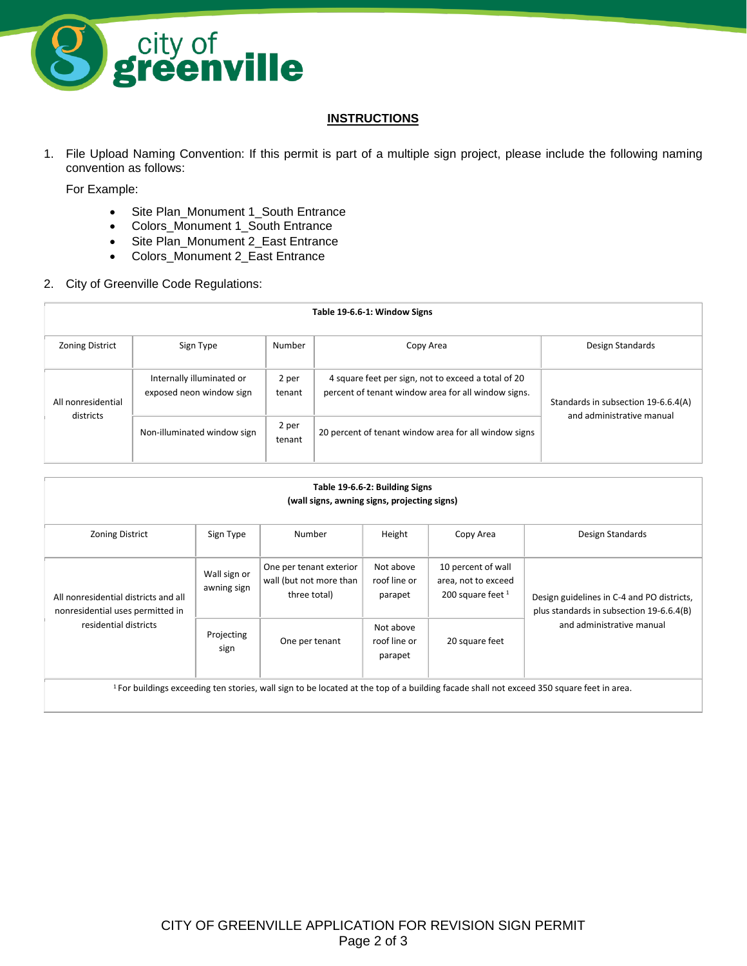

## **INSTRUCTIONS**

1. File Upload Naming Convention: If this permit is part of a multiple sign project, please include the following naming convention as follows:

For Example:

- Site Plan\_Monument 1\_South Entrance
- Colors\_Monument 1\_South Entrance
- Site Plan\_Monument 2\_East Entrance
- Colors\_Monument 2\_East Entrance
- 2. City of Greenville Code Regulations:

| Table 19-6.6-1: Window Signs    |                                                       |                 |                                                                                                            |                                                                  |  |
|---------------------------------|-------------------------------------------------------|-----------------|------------------------------------------------------------------------------------------------------------|------------------------------------------------------------------|--|
| <b>Zoning District</b>          | Sign Type                                             | Number          | Copy Area                                                                                                  | Design Standards                                                 |  |
| All nonresidential<br>districts | Internally illuminated or<br>exposed neon window sign | 2 per<br>tenant | 4 square feet per sign, not to exceed a total of 20<br>percent of tenant window area for all window signs. | Standards in subsection 19-6.6.4(A)<br>and administrative manual |  |
|                                 | Non-illuminated window sign                           | 2 per<br>tenant | 20 percent of tenant window area for all window signs                                                      |                                                                  |  |

| Table 19-6.6-2: Building Signs<br>(wall signs, awning signs, projecting signs)                                                                      |                             |                                                                    |                                      |                                                                  |                                                                                                                     |  |
|-----------------------------------------------------------------------------------------------------------------------------------------------------|-----------------------------|--------------------------------------------------------------------|--------------------------------------|------------------------------------------------------------------|---------------------------------------------------------------------------------------------------------------------|--|
| <b>Zoning District</b>                                                                                                                              | Sign Type                   | Number                                                             | Height                               | Copy Area                                                        | Design Standards                                                                                                    |  |
| All nonresidential districts and all<br>nonresidential uses permitted in<br>residential districts                                                   | Wall sign or<br>awning sign | One per tenant exterior<br>wall (but not more than<br>three total) | Not above<br>roof line or<br>parapet | 10 percent of wall<br>area, not to exceed<br>200 square feet $1$ | Design guidelines in C-4 and PO districts,<br>plus standards in subsection 19-6.6.4(B)<br>and administrative manual |  |
|                                                                                                                                                     | Projecting<br>sign          | One per tenant                                                     | Not above<br>roof line or<br>parapet | 20 square feet                                                   |                                                                                                                     |  |
| <sup>1</sup> For buildings exceeding ten stories, wall sign to be located at the top of a building facade shall not exceed 350 square feet in area. |                             |                                                                    |                                      |                                                                  |                                                                                                                     |  |